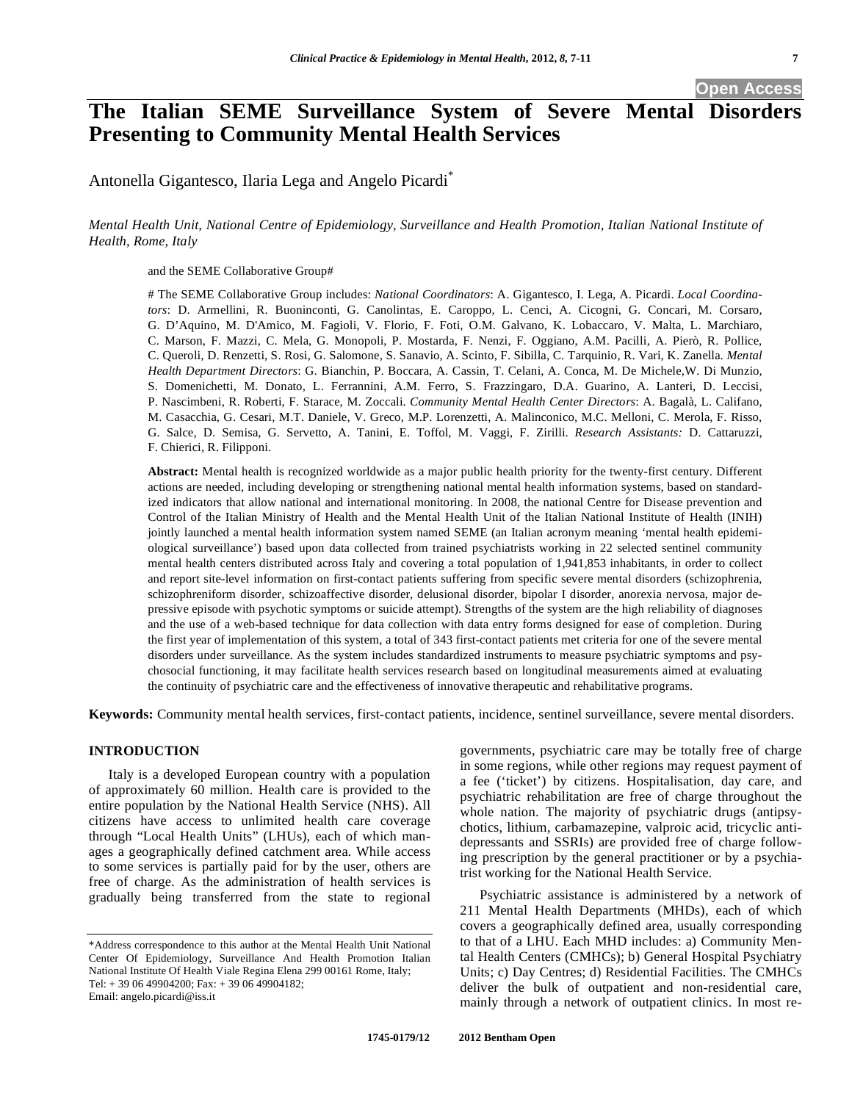# **The Italian SEME Surveillance System of Severe Mental Disorders Presenting to Community Mental Health Services**

Antonella Gigantesco, Ilaria Lega and Angelo Picardi<sup>\*</sup>

# *Mental Health Unit, National Centre of Epidemiology, Surveillance and Health Promotion, Italian National Institute of Health, Rome, Italy*

and the SEME Collaborative Group#

# The SEME Collaborative Group includes: *National Coordinators*: A. Gigantesco, I. Lega, A. Picardi. *Local Coordinators*: D. Armellini, R. Buoninconti, G. Canolintas, E. Caroppo, L. Cenci, A. Cicogni, G. Concari, M. Corsaro, G. D'Aquino, M. D'Amico, M. Fagioli, V. Florio, F. Foti, O.M. Galvano, K. Lobaccaro, V. Malta, L. Marchiaro, C. Marson, F. Mazzi, C. Mela, G. Monopoli, P. Mostarda, F. Nenzi, F. Oggiano, A.M. Pacilli, A. Pierò, R. Pollice, C. Queroli, D. Renzetti, S. Rosi, G. Salomone, S. Sanavio, A. Scinto, F. Sibilla, C. Tarquinio, R. Vari, K. Zanella. *Mental Health Department Directors*: G. Bianchin, P. Boccara, A. Cassin, T. Celani, A. Conca, M. De Michele,W. Di Munzio, S. Domenichetti, M. Donato, L. Ferrannini, A.M. Ferro, S. Frazzingaro, D.A. Guarino, A. Lanteri, D. Leccisi, P. Nascimbeni, R. Roberti, F. Starace, M. Zoccali. *Community Mental Health Center Directors*: A. Bagalà, L. Califano, M. Casacchia, G. Cesari, M.T. Daniele, V. Greco, M.P. Lorenzetti, A. Malinconico, M.C. Melloni, C. Merola, F. Risso, G. Salce, D. Semisa, G. Servetto, A. Tanini, E. Toffol, M. Vaggi, F. Zirilli. *Research Assistants:* D. Cattaruzzi, F. Chierici, R. Filipponi.

**Abstract:** Mental health is recognized worldwide as a major public health priority for the twenty-first century. Different actions are needed, including developing or strengthening national mental health information systems, based on standardized indicators that allow national and international monitoring. In 2008, the national Centre for Disease prevention and Control of the Italian Ministry of Health and the Mental Health Unit of the Italian National Institute of Health (INIH) jointly launched a mental health information system named SEME (an Italian acronym meaning 'mental health epidemiological surveillance') based upon data collected from trained psychiatrists working in 22 selected sentinel community mental health centers distributed across Italy and covering a total population of 1,941,853 inhabitants, in order to collect and report site-level information on first-contact patients suffering from specific severe mental disorders (schizophrenia, schizophreniform disorder, schizoaffective disorder, delusional disorder, bipolar I disorder, anorexia nervosa, major depressive episode with psychotic symptoms or suicide attempt). Strengths of the system are the high reliability of diagnoses and the use of a web-based technique for data collection with data entry forms designed for ease of completion. During the first year of implementation of this system*,* a total of 343 first-contact patients met criteria for one of the severe mental disorders under surveillance. As the system includes standardized instruments to measure psychiatric symptoms and psychosocial functioning, it may facilitate health services research based on longitudinal measurements aimed at evaluating the continuity of psychiatric care and the effectiveness of innovative therapeutic and rehabilitative programs.

**Keywords:** Community mental health services, first-contact patients, incidence, sentinel surveillance, severe mental disorders.

# **INTRODUCTION**

Italy is a developed European country with a population of approximately 60 million. Health care is provided to the entire population by the National Health Service (NHS). All citizens have access to unlimited health care coverage through "Local Health Units" (LHUs), each of which manages a geographically defined catchment area. While access to some services is partially paid for by the user, others are free of charge. As the administration of health services is gradually being transferred from the state to regional

\*Address correspondence to this author at the Mental Health Unit National Center Of Epidemiology, Surveillance And Health Promotion Italian National Institute Of Health Viale Regina Elena 299 00161 Rome, Italy; Tel: + 39 06 49904200; Fax: + 39 06 49904182; Email: angelo.picardi@iss.it

governments, psychiatric care may be totally free of charge in some regions, while other regions may request payment of a fee ('ticket') by citizens. Hospitalisation, day care, and psychiatric rehabilitation are free of charge throughout the whole nation. The majority of psychiatric drugs (antipsychotics, lithium, carbamazepine, valproic acid, tricyclic antidepressants and SSRIs) are provided free of charge following prescription by the general practitioner or by a psychiatrist working for the National Health Service.

Psychiatric assistance is administered by a network of 211 Mental Health Departments (MHDs), each of which covers a geographically defined area, usually corresponding to that of a LHU. Each MHD includes: a) Community Mental Health Centers (CMHCs); b) General Hospital Psychiatry Units; c) Day Centres; d) Residential Facilities. The CMHCs deliver the bulk of outpatient and non-residential care, mainly through a network of outpatient clinics. In most re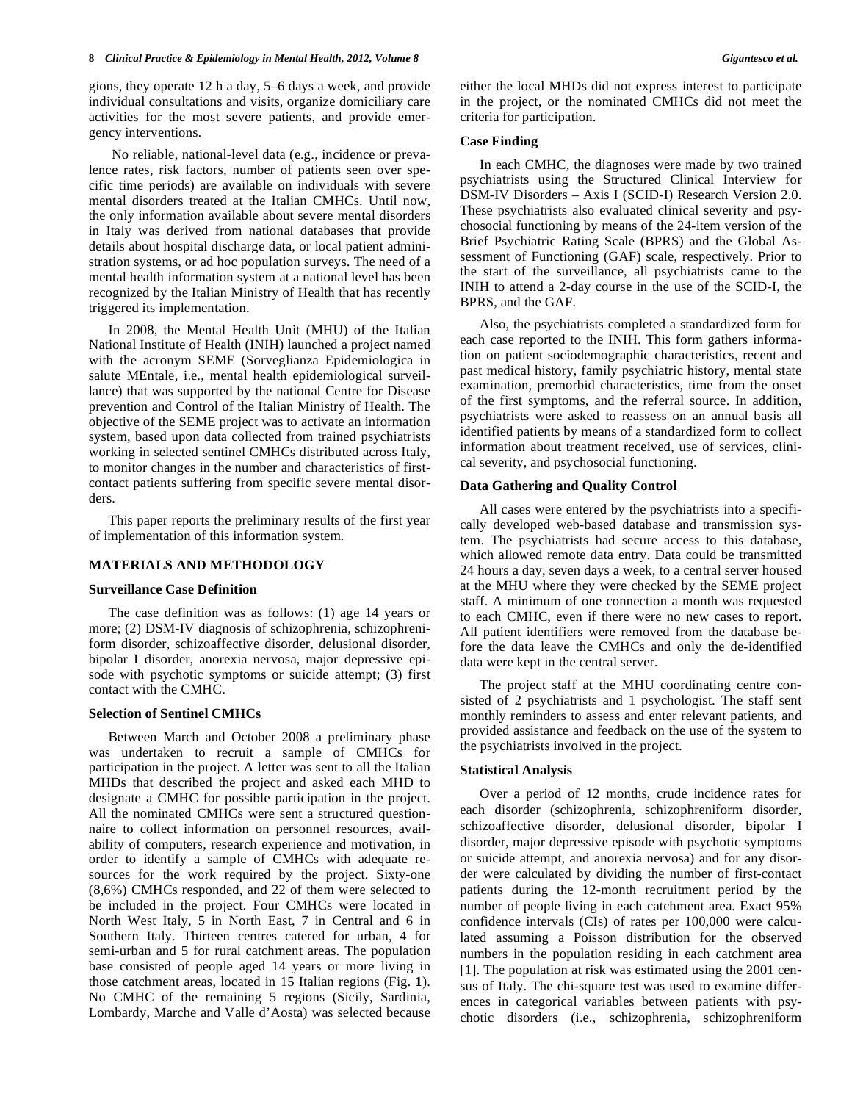gions, they operate 12 h a day, 5–6 days a week, and provide individual consultations and visits, organize domiciliary care activities for the most severe patients, and provide emergency interventions.

 No reliable, national-level data (e.g., incidence or prevalence rates, risk factors, number of patients seen over specific time periods) are available on individuals with severe mental disorders treated at the Italian CMHCs. Until now, the only information available about severe mental disorders in Italy was derived from national databases that provide details about hospital discharge data, or local patient administration systems, or ad hoc population surveys. The need of a mental health information system at a national level has been recognized by the Italian Ministry of Health that has recently triggered its implementation.

In 2008, the Mental Health Unit (MHU) of the Italian National Institute of Health (INIH) launched a project named with the acronym SEME (Sorveglianza Epidemiologica in salute MEntale, i.e., mental health epidemiological surveillance) that was supported by the national Centre for Disease prevention and Control of the Italian Ministry of Health*.* The objective of the SEME project was to activate an information system, based upon data collected from trained psychiatrists working in selected sentinel CMHCs distributed across Italy, to monitor changes in the number and characteristics of firstcontact patients suffering from specific severe mental disorders.

This paper reports the preliminary results of the first year of implementation of this information system*.* 

#### **MATERIALS AND METHODOLOGY**

#### **Surveillance Case Definition**

The case definition was as follows: (1) age 14 years or more; (2) DSM-IV diagnosis of schizophrenia, schizophreniform disorder, schizoaffective disorder, delusional disorder, bipolar I disorder, anorexia nervosa, major depressive episode with psychotic symptoms or suicide attempt; (3) first contact with the CMHC.

### **Selection of Sentinel CMHCs**

Between March and October 2008 a preliminary phase was undertaken to recruit a sample of CMHCs for participation in the project. A letter was sent to all the Italian MHDs that described the project and asked each MHD to designate a CMHC for possible participation in the project. All the nominated CMHCs were sent a structured questionnaire to collect information on personnel resources, availability of computers, research experience and motivation, in order to identify a sample of CMHCs with adequate resources for the work required by the project. Sixty-one (8,6%) CMHCs responded, and 22 of them were selected to be included in the project. Four CMHCs were located in North West Italy, 5 in North East, 7 in Central and 6 in Southern Italy. Thirteen centres catered for urban, 4 for semi-urban and 5 for rural catchment areas. The population base consisted of people aged 14 years or more living in those catchment areas, located in 15 Italian regions (Fig. **1**). No CMHC of the remaining 5 regions (Sicily, Sardinia, Lombardy, Marche and Valle d'Aosta) was selected because either the local MHDs did not express interest to participate in the project, or the nominated CMHCs did not meet the criteria for participation.

#### **Case Finding**

In each CMHC, the diagnoses were made by two trained psychiatrists using the Structured Clinical Interview for DSM-IV Disorders – Axis I (SCID-I) Research Version 2.0. These psychiatrists also evaluated clinical severity and psychosocial functioning by means of the 24-item version of the Brief Psychiatric Rating Scale (BPRS) and the Global Assessment of Functioning (GAF) scale, respectively. Prior to the start of the surveillance, all psychiatrists came to the INIH to attend a 2-day course in the use of the SCID-I, the BPRS, and the GAF.

Also, the psychiatrists completed a standardized form for each case reported to the INIH. This form gathers information on patient sociodemographic characteristics, recent and past medical history, family psychiatric history, mental state examination, premorbid characteristics, time from the onset of the first symptoms, and the referral source. In addition, psychiatrists were asked to reassess on an annual basis all identified patients by means of a standardized form to collect information about treatment received, use of services, clinical severity, and psychosocial functioning.

#### **Data Gathering and Quality Control**

All cases were entered by the psychiatrists into a specifically developed web-based database and transmission system. The psychiatrists had secure access to this database, which allowed remote data entry. Data could be transmitted 24 hours a day, seven days a week, to a central server housed at the MHU where they were checked by the SEME project staff. A minimum of one connection a month was requested to each CMHC, even if there were no new cases to report. All patient identifiers were removed from the database before the data leave the CMHCs and only the de-identified data were kept in the central server.

The project staff at the MHU coordinating centre consisted of 2 psychiatrists and 1 psychologist. The staff sent monthly reminders to assess and enter relevant patients, and provided assistance and feedback on the use of the system to the psychiatrists involved in the project.

#### **Statistical Analysis**

Over a period of 12 months, crude incidence rates for each disorder (schizophrenia, schizophreniform disorder, schizoaffective disorder, delusional disorder, bipolar I disorder, major depressive episode with psychotic symptoms or suicide attempt, and anorexia nervosa) and for any disorder were calculated by dividing the number of first-contact patients during the 12-month recruitment period by the number of people living in each catchment area. Exact 95% confidence intervals (CIs) of rates per 100,000 were calculated assuming a Poisson distribution for the observed numbers in the population residing in each catchment area [1]. The population at risk was estimated using the 2001 census of Italy. The chi-square test was used to examine differences in categorical variables between patients with psychotic disorders (i.e., schizophrenia, schizophreniform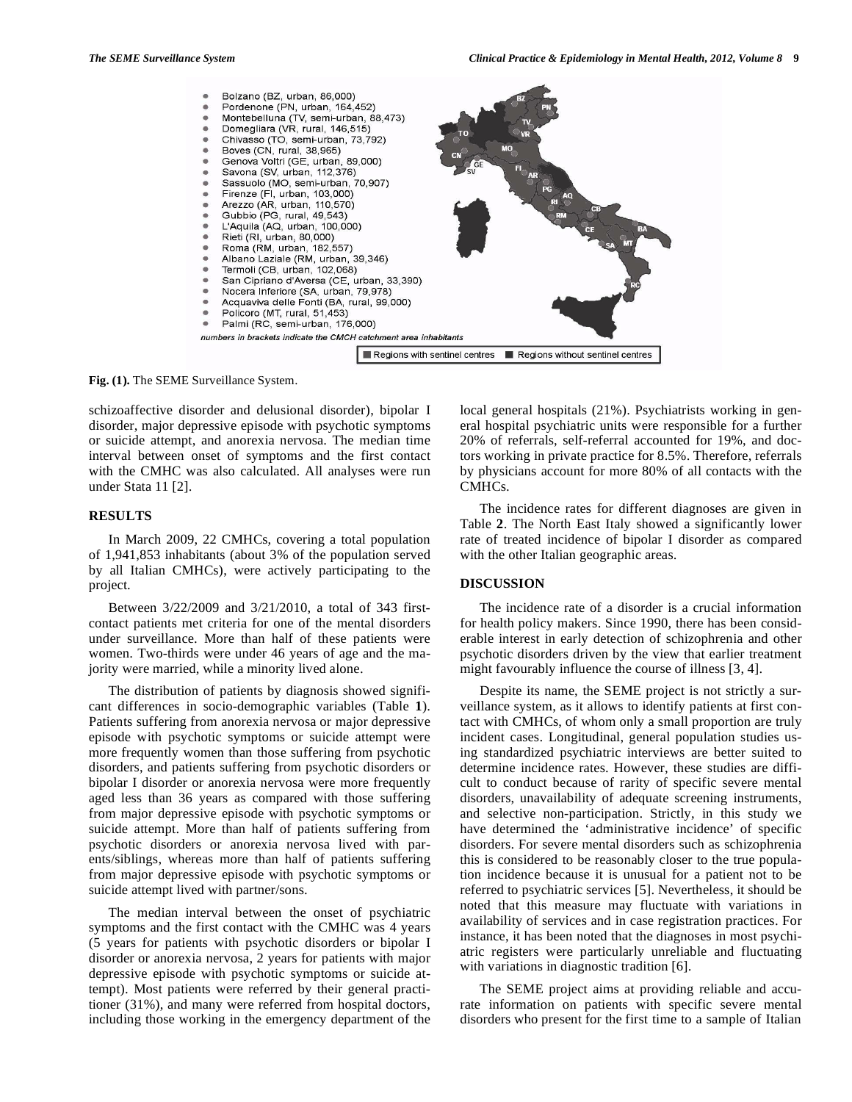

**Fig. (1).** The SEME Surveillance System.

schizoaffective disorder and delusional disorder), bipolar I disorder, major depressive episode with psychotic symptoms or suicide attempt, and anorexia nervosa. The median time interval between onset of symptoms and the first contact with the CMHC was also calculated. All analyses were run under Stata 11 [2].

# **RESULTS**

In March 2009, 22 CMHCs, covering a total population of 1,941,853 inhabitants (about 3% of the population served by all Italian CMHCs), were actively participating to the project.

Between 3/22/2009 and 3/21/2010, a total of 343 firstcontact patients met criteria for one of the mental disorders under surveillance. More than half of these patients were women. Two-thirds were under 46 years of age and the majority were married, while a minority lived alone.

The distribution of patients by diagnosis showed significant differences in socio-demographic variables (Table **1**). Patients suffering from anorexia nervosa or major depressive episode with psychotic symptoms or suicide attempt were more frequently women than those suffering from psychotic disorders, and patients suffering from psychotic disorders or bipolar I disorder or anorexia nervosa were more frequently aged less than 36 years as compared with those suffering from major depressive episode with psychotic symptoms or suicide attempt. More than half of patients suffering from psychotic disorders or anorexia nervosa lived with parents/siblings, whereas more than half of patients suffering from major depressive episode with psychotic symptoms or suicide attempt lived with partner/sons.

The median interval between the onset of psychiatric symptoms and the first contact with the CMHC was 4 years (5 years for patients with psychotic disorders or bipolar I disorder or anorexia nervosa, 2 years for patients with major depressive episode with psychotic symptoms or suicide attempt). Most patients were referred by their general practitioner (31%), and many were referred from hospital doctors, including those working in the emergency department of the local general hospitals (21%). Psychiatrists working in general hospital psychiatric units were responsible for a further 20% of referrals, self-referral accounted for 19%, and doctors working in private practice for 8.5%. Therefore, referrals by physicians account for more 80% of all contacts with the CMHCs.

The incidence rates for different diagnoses are given in Table **2**. The North East Italy showed a significantly lower rate of treated incidence of bipolar I disorder as compared with the other Italian geographic areas.

# **DISCUSSION**

The incidence rate of a disorder is a crucial information for health policy makers. Since 1990, there has been considerable interest in early detection of schizophrenia and other psychotic disorders driven by the view that earlier treatment might favourably influence the course of illness [3, 4].

Despite its name, the SEME project is not strictly a surveillance system, as it allows to identify patients at first contact with CMHCs, of whom only a small proportion are truly incident cases. Longitudinal, general population studies using standardized psychiatric interviews are better suited to determine incidence rates. However, these studies are difficult to conduct because of rarity of specific severe mental disorders, unavailability of adequate screening instruments, and selective non-participation. Strictly, in this study we have determined the 'administrative incidence' of specific disorders. For severe mental disorders such as schizophrenia this is considered to be reasonably closer to the true population incidence because it is unusual for a patient not to be referred to psychiatric services [5]. Nevertheless, it should be noted that this measure may fluctuate with variations in availability of services and in case registration practices. For instance, it has been noted that the diagnoses in most psychiatric registers were particularly unreliable and fluctuating with variations in diagnostic tradition [6].

The SEME project aims at providing reliable and accurate information on patients with specific severe mental disorders who present for the first time to a sample of Italian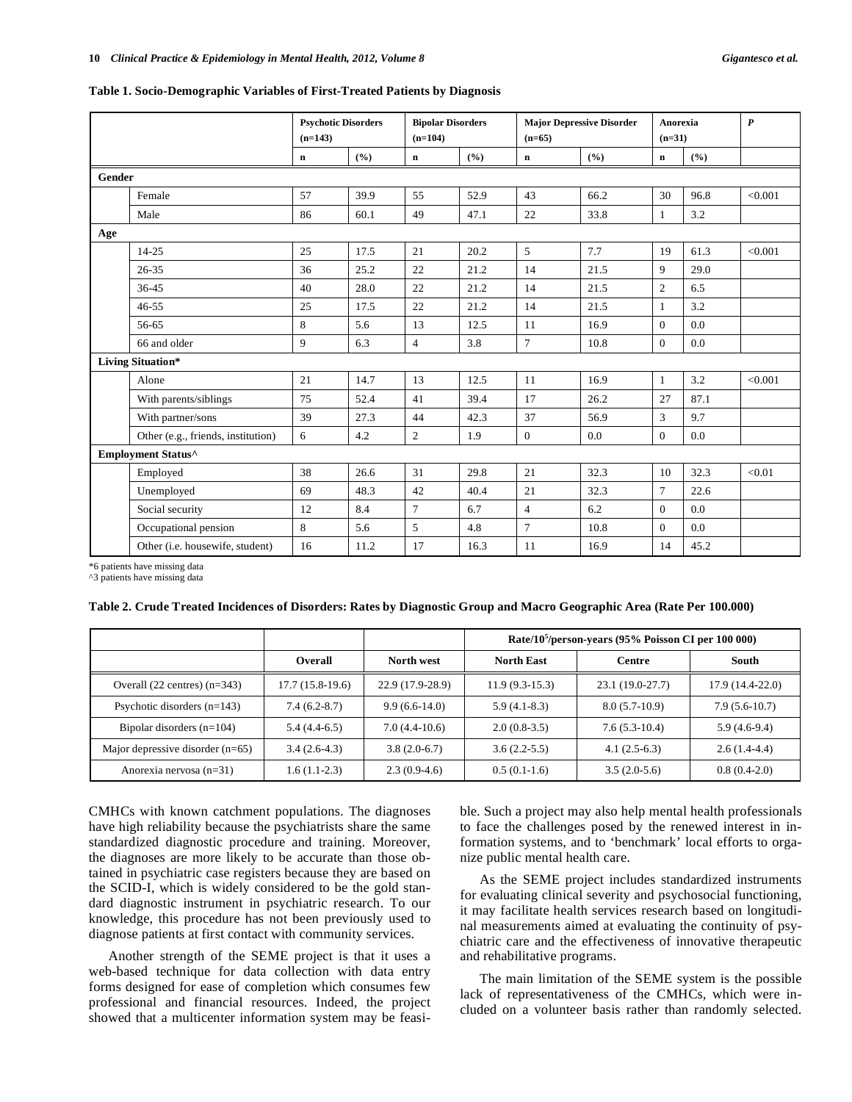#### **Table 1. Socio-Demographic Variables of First-Treated Patients by Diagnosis**

|                             |                                    | <b>Psychotic Disorders</b><br>$(n=143)$ |      | <b>Bipolar Disorders</b><br>$(n=104)$ |       | <b>Major Depressive Disorder</b><br>$(n=65)$ |       | Anorexia<br>$(n=31)$ |      | $\boldsymbol{P}$ |
|-----------------------------|------------------------------------|-----------------------------------------|------|---------------------------------------|-------|----------------------------------------------|-------|----------------------|------|------------------|
|                             |                                    | $\bf n$                                 | (%)  | $\mathbf n$                           | (9/0) | $\mathbf n$                                  | (9/0) | $\bf n$              | (%)  |                  |
| <b>Gender</b>               |                                    |                                         |      |                                       |       |                                              |       |                      |      |                  |
|                             | Female                             | 57                                      | 39.9 | 55                                    | 52.9  | 43                                           | 66.2  | 30                   | 96.8 | < 0.001          |
|                             | Male                               | 86                                      | 60.1 | 49                                    | 47.1  | 22                                           | 33.8  | $\mathbf{1}$         | 3.2  |                  |
| Age                         |                                    |                                         |      |                                       |       |                                              |       |                      |      |                  |
|                             | $14 - 25$                          | 25                                      | 17.5 | 21                                    | 20.2  | 5                                            | 7.7   | 19                   | 61.3 | < 0.001          |
|                             | 26-35                              | 36                                      | 25.2 | 22                                    | 21.2  | 14                                           | 21.5  | 9                    | 29.0 |                  |
|                             | $36 - 45$                          | 40                                      | 28.0 | 22                                    | 21.2  | 14                                           | 21.5  | $\overline{c}$       | 6.5  |                  |
|                             | $46 - 55$                          | 25                                      | 17.5 | 22                                    | 21.2  | 14                                           | 21.5  | $\mathbf{1}$         | 3.2  |                  |
|                             | 56-65                              | $\,8\,$                                 | 5.6  | 13                                    | 12.5  | 11                                           | 16.9  | $\boldsymbol{0}$     | 0.0  |                  |
|                             | 66 and older                       | 9                                       | 6.3  | $\overline{4}$                        | 3.8   | $\tau$                                       | 10.8  | $\boldsymbol{0}$     | 0.0  |                  |
| Living Situation*           |                                    |                                         |      |                                       |       |                                              |       |                      |      |                  |
|                             | Alone                              | 21                                      | 14.7 | 13                                    | 12.5  | 11                                           | 16.9  | $\mathbf{1}$         | 3.2  | < 0.001          |
|                             | With parents/siblings              | 75                                      | 52.4 | 41                                    | 39.4  | 17                                           | 26.2  | 27                   | 87.1 |                  |
|                             | With partner/sons                  | 39                                      | 27.3 | 44                                    | 42.3  | 37                                           | 56.9  | 3                    | 9.7  |                  |
|                             | Other (e.g., friends, institution) | 6                                       | 4.2  | $\mathbf{2}$                          | 1.9   | $\overline{0}$                               | 0.0   | $\boldsymbol{0}$     | 0.0  |                  |
| Employment Status $^\wedge$ |                                    |                                         |      |                                       |       |                                              |       |                      |      |                  |
|                             | Employed                           | 38                                      | 26.6 | 31                                    | 29.8  | 21                                           | 32.3  | 10                   | 32.3 | < 0.01           |
|                             | Unemployed                         | 69                                      | 48.3 | 42                                    | 40.4  | 21                                           | 32.3  | $\overline{7}$       | 22.6 |                  |
|                             | Social security                    | 12                                      | 8.4  | $\overline{7}$                        | 6.7   | $\overline{4}$                               | 6.2   | $\mathbf{0}$         | 0.0  |                  |
|                             | Occupational pension               | $\,8\,$                                 | 5.6  | 5                                     | 4.8   | $\overline{7}$                               | 10.8  | $\boldsymbol{0}$     | 0.0  |                  |
|                             | Other (i.e. housewife, student)    | 16                                      | 11.2 | 17                                    | 16.3  | 11                                           | 16.9  | 14                   | 45.2 |                  |

\*6 patients have missing data

^3 patients have missing data

|  |  |  |  | Table 2. Crude Treated Incidences of Disorders: Rates by Diagnostic Group and Macro Geographic Area (Rate Per 100.000) |  |
|--|--|--|--|------------------------------------------------------------------------------------------------------------------------|--|
|  |  |  |  |                                                                                                                        |  |

|                                    |                   |                  | Rate/10 <sup>5</sup> /person-years (95% Poisson CI per 100 000) |                  |                  |  |
|------------------------------------|-------------------|------------------|-----------------------------------------------------------------|------------------|------------------|--|
|                                    | <b>Overall</b>    | North west       | <b>North East</b>                                               | <b>Centre</b>    | South            |  |
| Overall $(22$ centres) $(n=343)$   | $17.7(15.8-19.6)$ | 22.9 (17.9-28.9) | $11.9(9.3-15.3)$                                                | 23.1 (19.0-27.7) | 17.9 (14.4-22.0) |  |
| Psychotic disorders $(n=143)$      | $7.4(6.2-8.7)$    | $9.9(6.6-14.0)$  | $5.9(4.1-8.3)$                                                  | $8.0(5.7-10.9)$  | $7.9(5.6-10.7)$  |  |
| Bipolar disorders $(n=104)$        | $5.4(4.4-6.5)$    | $7.0(4.4-10.6)$  | $2.0(0.8-3.5)$                                                  | $7.6(5.3-10.4)$  | $5.9(4.6-9.4)$   |  |
| Major depressive disorder $(n=65)$ | $3.4(2.6-4.3)$    | $3.8(2.0-6.7)$   | $3.6(2.2-5.5)$                                                  | $4.1(2.5-6.3)$   | $2.6(1.4-4.4)$   |  |
| Anorexia nervosa $(n=31)$          | $1.6(1.1-2.3)$    | $2.3(0.9-4.6)$   | $0.5(0.1-1.6)$                                                  | $3.5(2.0-5.6)$   | $0.8(0.4-2.0)$   |  |

CMHCs with known catchment populations. The diagnoses have high reliability because the psychiatrists share the same standardized diagnostic procedure and training. Moreover, the diagnoses are more likely to be accurate than those obtained in psychiatric case registers because they are based on the SCID-I, which is widely considered to be the gold standard diagnostic instrument in psychiatric research. To our knowledge, this procedure has not been previously used to diagnose patients at first contact with community services.

Another strength of the SEME project is that it uses a web-based technique for data collection with data entry forms designed for ease of completion which consumes few professional and financial resources. Indeed, the project showed that a multicenter information system may be feasible. Such a project may also help mental health professionals to face the challenges posed by the renewed interest in information systems, and to 'benchmark' local efforts to organize public mental health care.

As the SEME project includes standardized instruments for evaluating clinical severity and psychosocial functioning, it may facilitate health services research based on longitudinal measurements aimed at evaluating the continuity of psychiatric care and the effectiveness of innovative therapeutic and rehabilitative programs.

The main limitation of the SEME system is the possible lack of representativeness of the CMHCs, which were included on a volunteer basis rather than randomly selected.